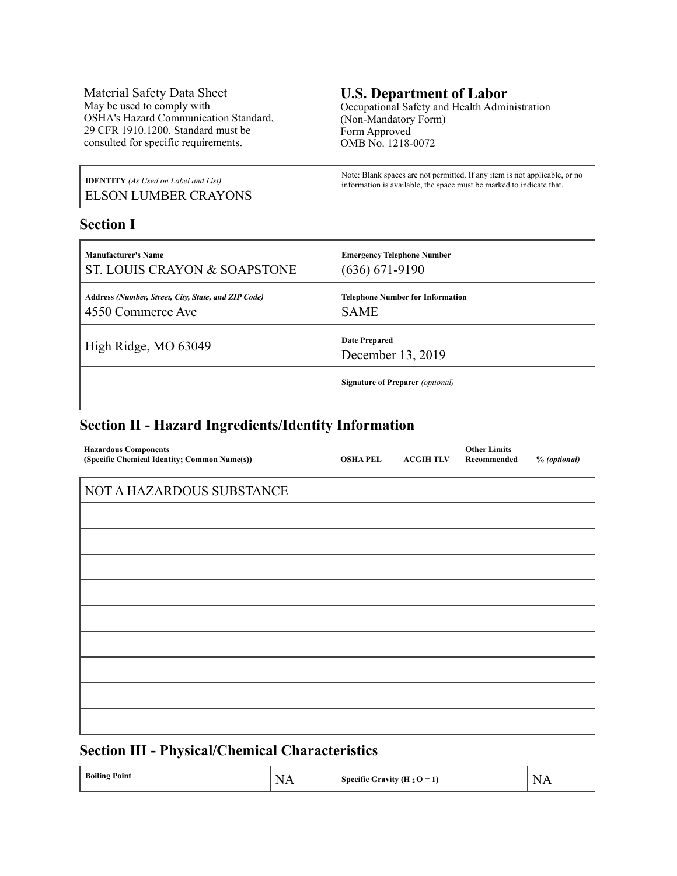Material Safety Data Sheet May be used to comply with OSHA's Hazard Communication Standard, 29 CFR 1910.1200. Standard must be consulted for specific requirements.

#### **U.S. Department of Labor** Occupational Safety and Health Administration

(Non-Mandatory Form) Form Approved OMB No. 1218-0072

| <b>IDENTITY</b> (As Used on Label and List) | Note: Blank spaces are not permitted. If any item is not applicable, or no |
|---------------------------------------------|----------------------------------------------------------------------------|
| <b>ELSON LUMBER CRAYONS</b>                 | information is available, the space must be marked to indicate that.       |

## **Section I**

| <b>Manufacturer's Name</b>                          | <b>Emergency Telephone Number</b>         |
|-----------------------------------------------------|-------------------------------------------|
| ST. LOUIS CRAYON & SOAPSTONE                        | $(636) 671-9190$                          |
| Address (Number, Street, City, State, and ZIP Code) | <b>Telephone Number for Information</b>   |
| 4550 Commerce Ave                                   | <b>SAME</b>                               |
| High Ridge, MO 63049                                | <b>Date Prepared</b><br>December 13, 2019 |
|                                                     | <b>Signature of Preparer</b> (optional)   |

## **Section II - Hazard Ingredients/Identity Information**

| <b>Hazardous Components</b><br>(Specific Chemical Identity; Common Name(s)) | <b>OSHA PEL</b> | <b>ACGIH TLV</b> | <b>Other Limits</b><br>Recommended | % (optional) |
|-----------------------------------------------------------------------------|-----------------|------------------|------------------------------------|--------------|
| NOT A HAZARDOUS SUBSTANCE                                                   |                 |                  |                                    |              |
|                                                                             |                 |                  |                                    |              |
|                                                                             |                 |                  |                                    |              |
|                                                                             |                 |                  |                                    |              |
|                                                                             |                 |                  |                                    |              |
|                                                                             |                 |                  |                                    |              |
|                                                                             |                 |                  |                                    |              |
|                                                                             |                 |                  |                                    |              |
|                                                                             |                 |                  |                                    |              |
|                                                                             |                 |                  |                                    |              |
|                                                                             |                 |                  |                                    |              |

## **Section III - Physical/Chemical Characteristics**

| <b>Boiling Point</b> | N<br>,,<br>. | Specific Gravity (H <sub>2</sub> O = 1) | $\sim$<br>$\mathbf{N}$<br>$\overline{ }$<br>.<br>the contract of the contract of the contract of |
|----------------------|--------------|-----------------------------------------|--------------------------------------------------------------------------------------------------|
|----------------------|--------------|-----------------------------------------|--------------------------------------------------------------------------------------------------|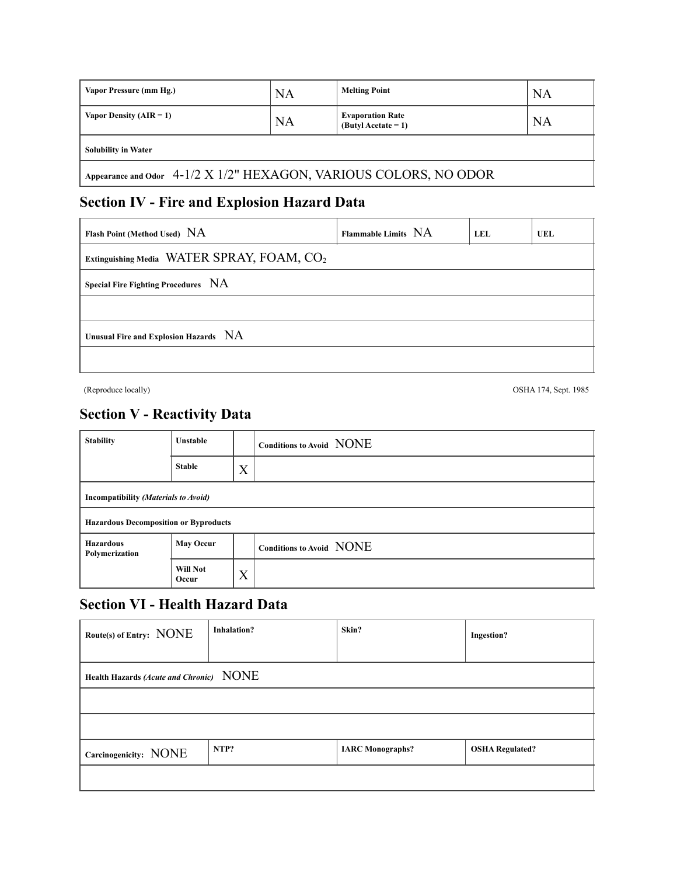| Vapor Pressure (mm Hg.)                                           | <b>NA</b> | <b>Melting Point</b>                             | <b>NA</b> |  |
|-------------------------------------------------------------------|-----------|--------------------------------------------------|-----------|--|
| Vapor Density $(AIR = 1)$                                         | <b>NA</b> | <b>Evaporation Rate</b><br>$(Butv)$ Acetate = 1) | <b>NA</b> |  |
| <b>Solubility in Water</b>                                        |           |                                                  |           |  |
| Appearance and Odor 4-1/2 X 1/2" HEXAGON, VARIOUS COLORS, NO ODOR |           |                                                  |           |  |

# **Section IV - Fire and Explosion Hazard Data**

| Flash Point (Method Used) NA                           | Flammable Limits NA | LEL | UEL |  |
|--------------------------------------------------------|---------------------|-----|-----|--|
| Extinguishing Media WATER SPRAY, FOAM, CO <sub>2</sub> |                     |     |     |  |
| Special Fire Fighting Procedures NA                    |                     |     |     |  |
|                                                        |                     |     |     |  |
| Unusual Fire and Explosion Hazards NA                  |                     |     |     |  |
|                                                        |                     |     |     |  |

(Reproduce locally) OSHA 174, Sept. 1985

# **Section V - Reactivity Data**

| <b>Stability</b>                             | <b>Unstable</b>          |   | Conditions to Avoid NONE |
|----------------------------------------------|--------------------------|---|--------------------------|
|                                              | <b>Stable</b>            | X |                          |
| Incompatibility (Materials to Avoid)         |                          |   |                          |
| <b>Hazardous Decomposition or Byproducts</b> |                          |   |                          |
| <b>Hazardous</b><br>Polymerization           | <b>May Occur</b>         |   | Conditions to Avoid NONE |
|                                              | <b>Will Not</b><br>Occur | X |                          |

# **Section VI - Health Hazard Data**

| Route(s) of Entry: NONE                 | <b>Inhalation?</b> | Skin?                   | <b>Ingestion?</b>      |
|-----------------------------------------|--------------------|-------------------------|------------------------|
| Health Hazards (Acute and Chronic) NONE |                    |                         |                        |
|                                         |                    |                         |                        |
|                                         |                    |                         |                        |
| Carcinogenicity: NONE                   | NTP?               | <b>IARC</b> Monographs? | <b>OSHA Regulated?</b> |
|                                         |                    |                         |                        |